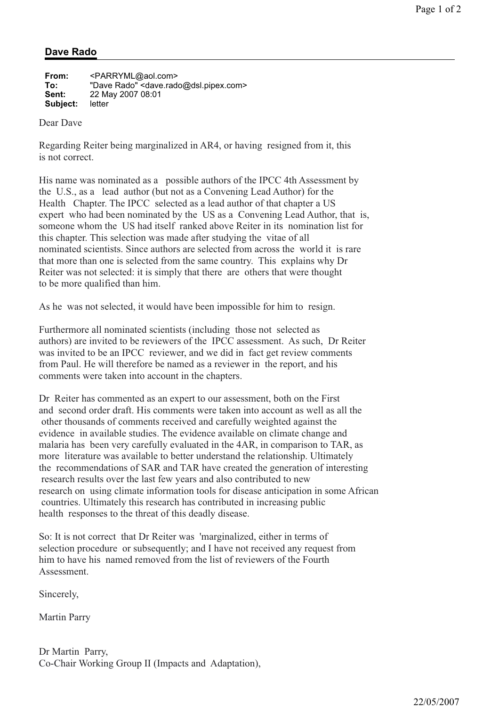## **Dave Rado**

| From:    | <parryml@aol.com></parryml@aol.com>                             |
|----------|-----------------------------------------------------------------|
| To:      | "Dave Rado" <dave.rado@dsl.pipex.com></dave.rado@dsl.pipex.com> |
| Sent:    | 22 May 2007 08:01                                               |
| Subject: | letter                                                          |

Dear Dave

Regarding Reiter being marginalized in AR4, or having resigned from it, this is not correct.

His name was nominated as a possible authors of the IPCC 4th Assessment by the U.S., as a lead author (but not as a Convening Lead Author) for the Health Chapter. The IPCC selected as a lead author of that chapter a US expert who had been nominated by the US as a Convening Lead Author, that is, someone whom the US had itself ranked above Reiter in its nomination list for this chapter. This selection was made after studying the vitae of all nominated scientists. Since authors are selected from across the world it is rare that more than one is selected from the same country. This explains why Dr Reiter was not selected: it is simply that there are others that were thought to be more qualified than him.

As he was not selected, it would have been impossible for him to resign.

Furthermore all nominated scientists (including those not selected as authors) are invited to be reviewers of the IPCC assessment. As such, Dr Reiter was invited to be an IPCC reviewer, and we did in fact get review comments from Paul. He will therefore be named as a reviewer in the report, and his comments were taken into account in the chapters.

Dr Reiter has commented as an expert to our assessment, both on the First and second order draft. His comments were taken into account as well as all the other thousands of comments received and carefully weighted against the evidence in available studies. The evidence available on climate change and malaria has been very carefully evaluated in the 4AR, in comparison to TAR, as more literature was available to better understand the relationship. Ultimately the recommendations of SAR and TAR have created the generation of interesting research results over the last few years and also contributed to new research on using climate information tools for disease anticipation in some African countries. Ultimately this research has contributed in increasing public health responses to the threat of this deadly disease.

So: It is not correct that Dr Reiter was 'marginalized, either in terms of selection procedure or subsequently; and I have not received any request from him to have his named removed from the list of reviewers of the Fourth Assessment.

Sincerely,

Martin Parry

Dr Martin Parry, Co-Chair Working Group II (Impacts and Adaptation),